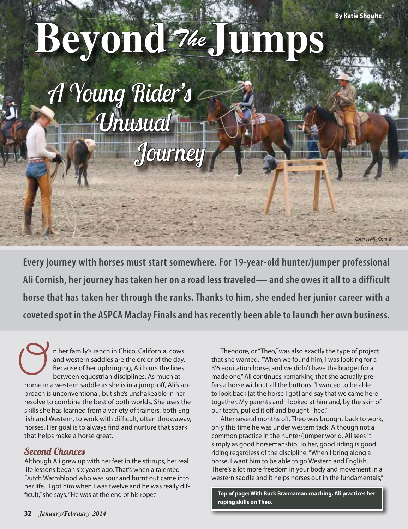Courtesy Ali Cornish

# **Beyond Jumps** *The*

*A Young Rider's Unusual Journey*

**Every journey with horses must start somewhere. For 19-year-old hunter/jumper professional Ali Cornish, her journey has taken her on a road less traveled— and she owes it all to a difficult horse that has taken her through the ranks. Thanks to him, she ended her junior career with a coveted spot in the ASPCA Maclay Finals and has recently been able to launch her own business.**

n her family's ranch in Chico, California, cows and western saddles are the order of the day. Because of her upbringing, Ali blurs the lines between equestrian disciplines. As much at n her family's ranch in Chico, California, cows<br>and western saddles are the order of the day.<br>Because of her upbringing, Ali blurs the lines<br>between equestrian disciplines. As much at<br>home in a western saddle as she is in proach is unconventional, but she's unshakeable in her resolve to combine the best of both worlds. She uses the skills she has learned from a variety of trainers, both English and Western, to work with difficult, often throwaway, horses. Her goal is to always find and nurture that spark that helps make a horse great.

## *Second Chances*

Although Ali grew up with her feet in the stirrups, her real life lessons began six years ago. That's when a talented Dutch Warmblood who was sour and burnt out came into her life. "I got him when I was twelve and he was really difficult," she says. "He was at the end of his rope."

Theodore, or "Theo," was also exactly the type of project that she wanted. "When we found him, I was looking for a 3'6 equitation horse, and we didn't have the budget for a made one," Ali continues, remarking that she actually prefers a horse without all the buttons. "I wanted to be able to look back [at the horse I got] and say that we came here together. My parents and I looked at him and, by the skin of our teeth, pulled it off and bought Theo."

After several months off, Theo was brought back to work, only this time he was under western tack. Although not a common practice in the hunter/jumper world, Ali sees it simply as good horsemanship. To her, good riding is good riding regardless of the discipline. "When I bring along a horse, I want him to be able to go Western and English. There's a lot more freedom in your body and movement in a western saddle and it helps horses out in the fundamentals,"

**Top of page: With Buck Brannaman coaching, Ali practices her roping skills on Theo.**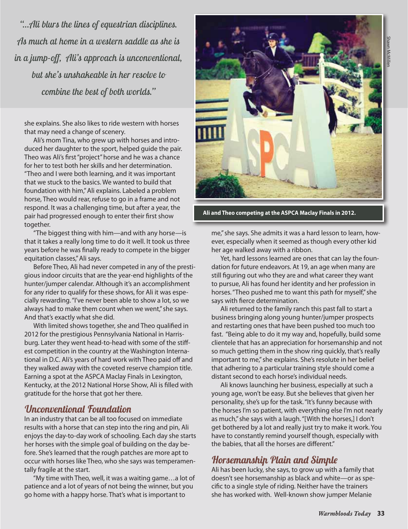*"…Ali blurs the lines of equestrian disciplines. As much at home in a western saddle as she is in a jump-off, Ali's approach is unconventional, but she's unshakeable in her resolve to combine the best of both worlds."*

she explains. She also likes to ride western with horses that may need a change of scenery.

Ali's mom Tina, who grew up with horses and introduced her daughter to the sport, helped guide the pair. Theo was Ali's first "project" horse and he was a chance for her to test both her skills and her determination. "Theo and I were both learning, and it was important that we stuck to the basics. We wanted to build that foundation with him," Ali explains. Labeled a problem horse, Theo would rear, refuse to go in a frame and not respond. It was a challenging time, but after a year, the pair had progressed enough to enter their first show together.

"The biggest thing with him—and with any horse—is that it takes a really long time to do it well. It took us three years before he was finally ready to compete in the bigger equitation classes," Ali says.

Before Theo, Ali had never competed in any of the prestigious indoor circuits that are the year-end highlights of the hunter/jumper calendar. Although it's an accomplishment for any rider to qualify for these shows, for Ali it was especially rewarding. "I've never been able to show a lot, so we always had to make them count when we went," she says. And that's exactly what she did.

With limited shows together, she and Theo qualified in 2012 for the prestigious Pennsylvania National in Harrisburg. Later they went head-to-head with some of the stiffest competition in the country at the Washington International in D.C. Ali's years of hard work with Theo paid off and they walked away with the coveted reserve champion title. Earning a spot at the ASPCA Maclay Finals in Lexington, Kentucky, at the 2012 National Horse Show, Ali is filled with gratitude for the horse that got her there.

### *Unconventional Foundation*

In an industry that can be all too focused on immediate results with a horse that can step into the ring and pin, Ali enjoys the day-to-day work of schooling. Each day she starts her horses with the simple goal of building on the day before. She's learned that the rough patches are more apt to occur with horses like Theo, who she says was temperamentally fragile at the start.

"My time with Theo, well, it was a waiting game…a lot of patience and a lot of years of not being the winner, but you go home with a happy horse. That's what is important to



**Ali and Theo competing at the ASPCA Maclay Finals in 2012.** 

me," she says. She admits it was a hard lesson to learn, however, especially when it seemed as though every other kid her age walked away with a ribbon.

Yet, hard lessons learned are ones that can lay the foundation for future endeavors. At 19, an age when many are still figuring out who they are and what career they want to pursue, Ali has found her identity and her profession in horses. "Theo pushed me to want this path for myself," she says with fierce determination.

Ali returned to the family ranch this past fall to start a business bringing along young hunter/jumper prospects and restarting ones that have been pushed too much too fast. "Being able to do it my way and, hopefully, build some clientele that has an appreciation for horsemanship and not so much getting them in the show ring quickly, that's really important to me," she explains. She's resolute in her belief that adhering to a particular training style should come a distant second to each horse's individual needs.

Ali knows launching her business, especially at such a young age, won't be easy. But she believes that given her personality, she's up for the task. "It's funny because with the horses I'm so patient, with everything else I'm not nearly as much," she says with a laugh. "[With the horses,] I don't get bothered by a lot and really just try to make it work. You have to constantly remind yourself though, especially with the babies, that all the horses are different."

## *Horsemanship Plain and Simple*

Ali has been lucky, she says, to grow up with a family that doesn't see horsemanship as black and white—or as specific to a single style of riding. Neither have the trainers she has worked with. Well-known show jumper Melanie